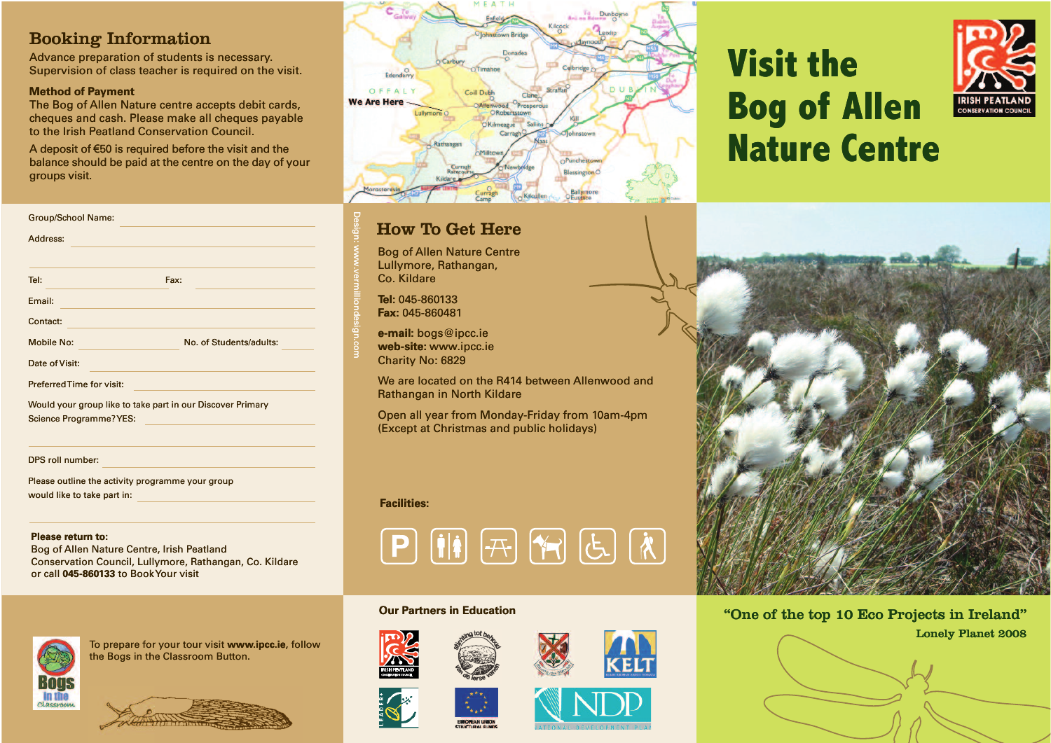#### Booking Information

Advance preparation of students is necessary. Supervision of class teacher is required on the visit.

#### **Method of Payment**

Group/School Name:

Tel: Fax:

Address:

Email: Contact:

Date of Visit:

Preferred Time for visit:

Science Programme? YES:

would like to take part in:

**Please return to:**

DPS roll number:

The Bog of Allen Nature centre accepts debit cards, cheques and cash. Please make all cheques payable to the Irish Peatland Conservation Council.

A deposit of  $\bm{\in}$ 50 is required before the visit and the to the Irish Peatland Conservation Council.<br>A deposit of €50 is required before the visit and the<br>balance should be paid at the centre on the day of your groups visit.

Mobile No: No. of Students/adults:

Would your group like to take part in our Discover Primary lik p

Please outline the activity programme your group

Bog of Allen Nature Centre, Irish Peatland

or call **045-860133** to Book Your visit

Conservation Council, Lullymore, Rathangan, Co. Kildare



#### How To Get Here

Bog of Allen Nature Centre Nat Lullymore, Rathangan, Rath Co. Kildare

**Tel:** 045-860133 **Fax:** 045-860481

Design: w w

w.vermilliondesign.com

w.verman<br>Ext. <u>All Communications of the second second</u><br>External communications of the second second second second second second second second second second second second second second second second second second second se

Mo. of Students/adults:<br>
No. of Students/adults:<br>
The common part in our Discover Primary

**e-mail:** bogs@ipcc.ie **web-site:** www.ipcc.ie **web-site:** www. Charity No: 6829

We are located on the R414 between Allenwood and<br>Rathangan in North Kildare Rathangan in North Kildare bogs@ipcc.ie<br>e: www.ipcc.ie<br>No: 6829<br>located on the R414 between Allenwoo<br>gan in North Kildare<br>Il year from Monday-Friday from 10am<br>at Christmas and public holidays) pcc.ie<br>.ipcc.ie<br>!9<br>on the R414 between Allenwood and<br>lorth Kildare<br>rom Monday-Friday from 10am-4pm

Open all year from Monday-Friday from 10am-4pm Monday (Except at Christmas and public holidays)

#### **Facilities:**



#### **Our Partners in Education**







### **Visit the Vis Yisit the<br>Bog of Allen Nature Centre**





"One of the top 10 Eco Projects in Ireland" Lonely Planet 2008 L **ow but Partners in Education** "One of the compact of the compact of the compact of the compact of the compact of the compact of the compact of the compact of the compact of the compact of the compact of the compact of t



To prepare for your tour visit **www.ipcc.ie**, follow<br>the Bogs in the Classroom Button. the Bogs in the Classroom Button. ogramme yc ${\sf true}$ , Irish Pe ${\sf nullymore}$ , R<br>Illymore, R<br>Disk Your visi<br>ior your tou<br>the Classrc